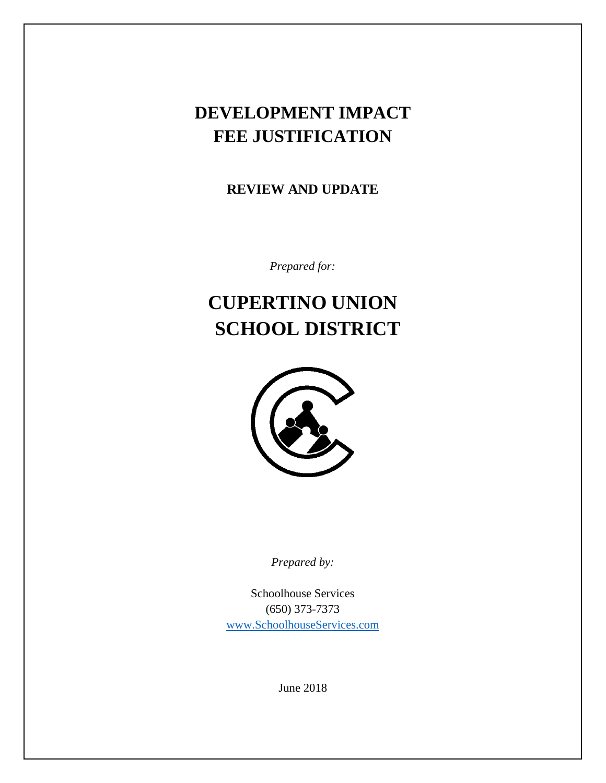## **DEVELOPMENT IMPACT FEE JUSTIFICATION**

**REVIEW AND UPDATE**

*Prepared for:*

# **CUPERTINO UNION SCHOOL DISTRICT**



*Prepared by:*

Schoolhouse Services (650) 373-7373 [www.SchoolhouseServices.com](http://www.schoolhouseservices.com/)

June 2018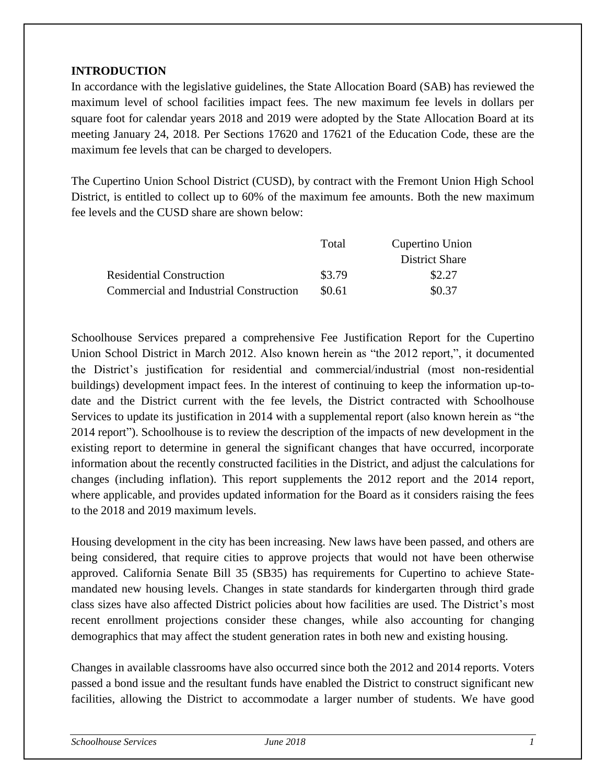#### **INTRODUCTION**

In accordance with the legislative guidelines, the State Allocation Board (SAB) has reviewed the maximum level of school facilities impact fees. The new maximum fee levels in dollars per square foot for calendar years 2018 and 2019 were adopted by the State Allocation Board at its meeting January 24, 2018. Per Sections 17620 and 17621 of the Education Code, these are the maximum fee levels that can be charged to developers.

The Cupertino Union School District (CUSD), by contract with the Fremont Union High School District, is entitled to collect up to 60% of the maximum fee amounts. Both the new maximum fee levels and the CUSD share are shown below:

|                                        | Total  | Cupertino Union       |
|----------------------------------------|--------|-----------------------|
|                                        |        | <b>District Share</b> |
| <b>Residential Construction</b>        | \$3.79 | \$2.27                |
| Commercial and Industrial Construction | \$0.61 | \$0.37                |

Schoolhouse Services prepared a comprehensive Fee Justification Report for the Cupertino Union School District in March 2012. Also known herein as "the 2012 report,", it documented the District's justification for residential and commercial/industrial (most non-residential buildings) development impact fees. In the interest of continuing to keep the information up-todate and the District current with the fee levels, the District contracted with Schoolhouse Services to update its justification in 2014 with a supplemental report (also known herein as "the 2014 report"). Schoolhouse is to review the description of the impacts of new development in the existing report to determine in general the significant changes that have occurred, incorporate information about the recently constructed facilities in the District, and adjust the calculations for changes (including inflation). This report supplements the 2012 report and the 2014 report, where applicable, and provides updated information for the Board as it considers raising the fees to the 2018 and 2019 maximum levels.

Housing development in the city has been increasing. New laws have been passed, and others are being considered, that require cities to approve projects that would not have been otherwise approved. California Senate Bill 35 (SB35) has requirements for Cupertino to achieve Statemandated new housing levels. Changes in state standards for kindergarten through third grade class sizes have also affected District policies about how facilities are used. The District's most recent enrollment projections consider these changes, while also accounting for changing demographics that may affect the student generation rates in both new and existing housing.

Changes in available classrooms have also occurred since both the 2012 and 2014 reports. Voters passed a bond issue and the resultant funds have enabled the District to construct significant new facilities, allowing the District to accommodate a larger number of students. We have good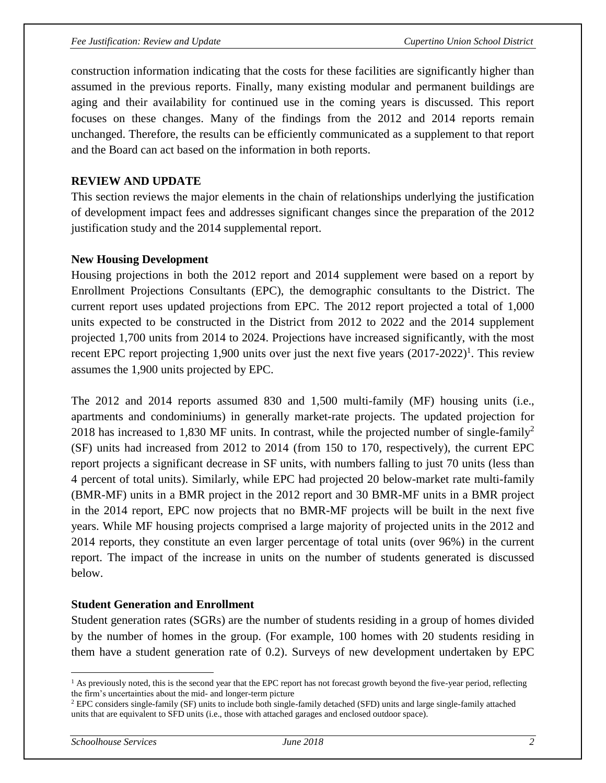construction information indicating that the costs for these facilities are significantly higher than assumed in the previous reports. Finally, many existing modular and permanent buildings are aging and their availability for continued use in the coming years is discussed. This report focuses on these changes. Many of the findings from the 2012 and 2014 reports remain unchanged. Therefore, the results can be efficiently communicated as a supplement to that report and the Board can act based on the information in both reports.

#### **REVIEW AND UPDATE**

This section reviews the major elements in the chain of relationships underlying the justification of development impact fees and addresses significant changes since the preparation of the 2012 justification study and the 2014 supplemental report.

#### **New Housing Development**

Housing projections in both the 2012 report and 2014 supplement were based on a report by Enrollment Projections Consultants (EPC), the demographic consultants to the District. The current report uses updated projections from EPC. The 2012 report projected a total of 1,000 units expected to be constructed in the District from 2012 to 2022 and the 2014 supplement projected 1,700 units from 2014 to 2024. Projections have increased significantly, with the most recent EPC report projecting 1,900 units over just the next five years  $(2017-2022)^{1}$ . This review assumes the 1,900 units projected by EPC.

The 2012 and 2014 reports assumed 830 and 1,500 multi-family (MF) housing units (i.e., apartments and condominiums) in generally market-rate projects. The updated projection for 2018 has increased to 1,830 MF units. In contrast, while the projected number of single-family<sup>2</sup> (SF) units had increased from 2012 to 2014 (from 150 to 170, respectively), the current EPC report projects a significant decrease in SF units, with numbers falling to just 70 units (less than 4 percent of total units). Similarly, while EPC had projected 20 below-market rate multi-family (BMR-MF) units in a BMR project in the 2012 report and 30 BMR-MF units in a BMR project in the 2014 report, EPC now projects that no BMR-MF projects will be built in the next five years. While MF housing projects comprised a large majority of projected units in the 2012 and 2014 reports, they constitute an even larger percentage of total units (over 96%) in the current report. The impact of the increase in units on the number of students generated is discussed below.

#### **Student Generation and Enrollment**

Student generation rates (SGRs) are the number of students residing in a group of homes divided by the number of homes in the group. (For example, 100 homes with 20 students residing in them have a student generation rate of 0.2). Surveys of new development undertaken by EPC

 $\overline{a}$ 

<sup>&</sup>lt;sup>1</sup> As previously noted, this is the second year that the EPC report has not forecast growth beyond the five-year period, reflecting the firm's uncertainties about the mid- and longer-term picture

<sup>2</sup> EPC considers single-family (SF) units to include both single-family detached (SFD) units and large single-family attached units that are equivalent to SFD units (i.e., those with attached garages and enclosed outdoor space).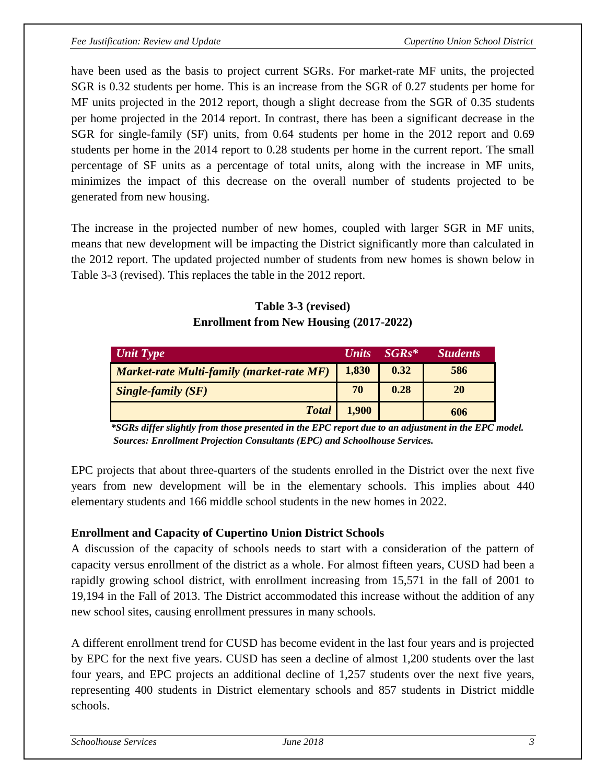have been used as the basis to project current SGRs. For market-rate MF units, the projected SGR is 0.32 students per home. This is an increase from the SGR of 0.27 students per home for MF units projected in the 2012 report, though a slight decrease from the SGR of 0.35 students per home projected in the 2014 report. In contrast, there has been a significant decrease in the SGR for single-family (SF) units, from 0.64 students per home in the 2012 report and 0.69 students per home in the 2014 report to 0.28 students per home in the current report. The small percentage of SF units as a percentage of total units, along with the increase in MF units, minimizes the impact of this decrease on the overall number of students projected to be generated from new housing.

The increase in the projected number of new homes, coupled with larger SGR in MF units, means that new development will be impacting the District significantly more than calculated in the 2012 report. The updated projected number of students from new homes is shown below in Table 3-3 (revised). This replaces the table in the 2012 report.

## **Table 3-3 (revised) Enrollment from New Housing (2017-2022)**

| Unit Type                                        | <b>Units</b> | $SGRs*$ | <b>Students</b> |
|--------------------------------------------------|--------------|---------|-----------------|
| <b>Market-rate Multi-family (market-rate MF)</b> | 1,830        | 0.32    | 586             |
| $\sum_{n=1}^{\infty}$ Single-family (SF)         | 70           | 0.28    | 20              |
| <b>Total</b>                                     | 1,900        |         | 606             |

 *\*SGRs differ slightly from those presented in the EPC report due to an adjustment in the EPC model. Sources: Enrollment Projection Consultants (EPC) and Schoolhouse Services.*

EPC projects that about three-quarters of the students enrolled in the District over the next five years from new development will be in the elementary schools. This implies about 440 elementary students and 166 middle school students in the new homes in 2022.

## **Enrollment and Capacity of Cupertino Union District Schools**

A discussion of the capacity of schools needs to start with a consideration of the pattern of capacity versus enrollment of the district as a whole. For almost fifteen years, CUSD had been a rapidly growing school district, with enrollment increasing from 15,571 in the fall of 2001 to 19,194 in the Fall of 2013. The District accommodated this increase without the addition of any new school sites, causing enrollment pressures in many schools.

A different enrollment trend for CUSD has become evident in the last four years and is projected by EPC for the next five years. CUSD has seen a decline of almost 1,200 students over the last four years, and EPC projects an additional decline of 1,257 students over the next five years, representing 400 students in District elementary schools and 857 students in District middle schools.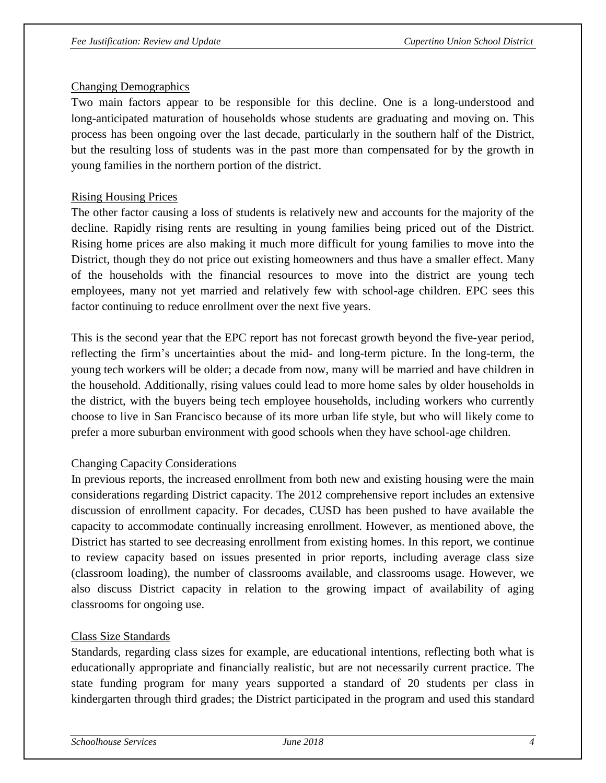#### Changing Demographics

Two main factors appear to be responsible for this decline. One is a long-understood and long-anticipated maturation of households whose students are graduating and moving on. This process has been ongoing over the last decade, particularly in the southern half of the District, but the resulting loss of students was in the past more than compensated for by the growth in young families in the northern portion of the district.

#### Rising Housing Prices

The other factor causing a loss of students is relatively new and accounts for the majority of the decline. Rapidly rising rents are resulting in young families being priced out of the District. Rising home prices are also making it much more difficult for young families to move into the District, though they do not price out existing homeowners and thus have a smaller effect. Many of the households with the financial resources to move into the district are young tech employees, many not yet married and relatively few with school-age children. EPC sees this factor continuing to reduce enrollment over the next five years.

This is the second year that the EPC report has not forecast growth beyond the five-year period, reflecting the firm's uncertainties about the mid- and long-term picture. In the long-term, the young tech workers will be older; a decade from now, many will be married and have children in the household. Additionally, rising values could lead to more home sales by older households in the district, with the buyers being tech employee households, including workers who currently choose to live in San Francisco because of its more urban life style, but who will likely come to prefer a more suburban environment with good schools when they have school-age children.

#### Changing Capacity Considerations

In previous reports, the increased enrollment from both new and existing housing were the main considerations regarding District capacity. The 2012 comprehensive report includes an extensive discussion of enrollment capacity. For decades, CUSD has been pushed to have available the capacity to accommodate continually increasing enrollment. However, as mentioned above, the District has started to see decreasing enrollment from existing homes. In this report, we continue to review capacity based on issues presented in prior reports, including average class size (classroom loading), the number of classrooms available, and classrooms usage. However, we also discuss District capacity in relation to the growing impact of availability of aging classrooms for ongoing use.

#### Class Size Standards

Standards, regarding class sizes for example, are educational intentions, reflecting both what is educationally appropriate and financially realistic, but are not necessarily current practice. The state funding program for many years supported a standard of 20 students per class in kindergarten through third grades; the District participated in the program and used this standard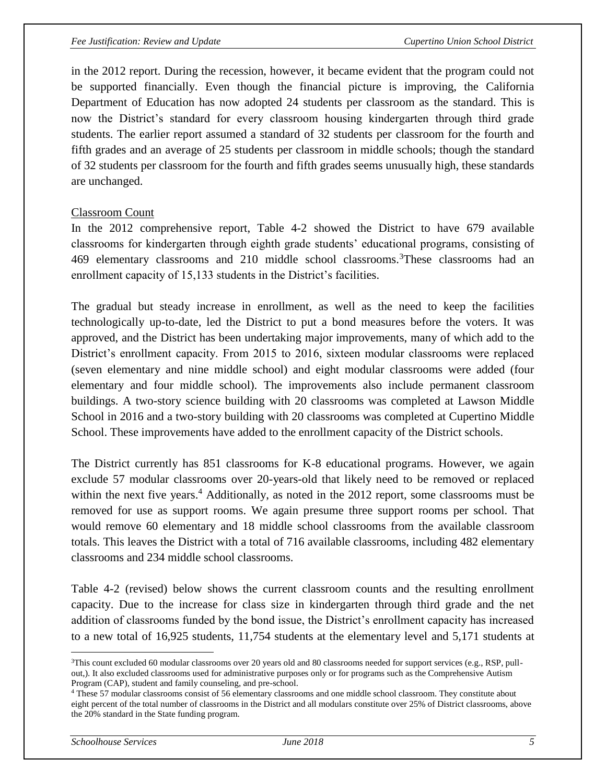in the 2012 report. During the recession, however, it became evident that the program could not be supported financially. Even though the financial picture is improving, the California Department of Education has now adopted 24 students per classroom as the standard. This is now the District's standard for every classroom housing kindergarten through third grade students. The earlier report assumed a standard of 32 students per classroom for the fourth and fifth grades and an average of 25 students per classroom in middle schools; though the standard of 32 students per classroom for the fourth and fifth grades seems unusually high, these standards are unchanged.

#### Classroom Count

In the 2012 comprehensive report, Table 4-2 showed the District to have 679 available classrooms for kindergarten through eighth grade students' educational programs, consisting of 469 elementary classrooms and 210 middle school classrooms.<sup>3</sup>These classrooms had an enrollment capacity of 15,133 students in the District's facilities.

The gradual but steady increase in enrollment, as well as the need to keep the facilities technologically up-to-date, led the District to put a bond measures before the voters. It was approved, and the District has been undertaking major improvements, many of which add to the District's enrollment capacity. From 2015 to 2016, sixteen modular classrooms were replaced (seven elementary and nine middle school) and eight modular classrooms were added (four elementary and four middle school). The improvements also include permanent classroom buildings. A two-story science building with 20 classrooms was completed at Lawson Middle School in 2016 and a two-story building with 20 classrooms was completed at Cupertino Middle School. These improvements have added to the enrollment capacity of the District schools.

The District currently has 851 classrooms for K-8 educational programs. However, we again exclude 57 modular classrooms over 20-years-old that likely need to be removed or replaced within the next five years.<sup>4</sup> Additionally, as noted in the 2012 report, some classrooms must be removed for use as support rooms. We again presume three support rooms per school. That would remove 60 elementary and 18 middle school classrooms from the available classroom totals. This leaves the District with a total of 716 available classrooms, including 482 elementary classrooms and 234 middle school classrooms.

Table 4-2 (revised) below shows the current classroom counts and the resulting enrollment capacity. Due to the increase for class size in kindergarten through third grade and the net addition of classrooms funded by the bond issue, the District's enrollment capacity has increased to a new total of 16,925 students, 11,754 students at the elementary level and 5,171 students at

 $\overline{a}$ 

 $3$ This count excluded 60 modular classrooms over 20 years old and 80 classrooms needed for support services (e.g., RSP, pullout,). It also excluded classrooms used for administrative purposes only or for programs such as the Comprehensive Autism Program (CAP), student and family counseling, and pre-school.

<sup>&</sup>lt;sup>4</sup> These 57 modular classrooms consist of 56 elementary classrooms and one middle school classroom. They constitute about eight percent of the total number of classrooms in the District and all modulars constitute over 25% of District classrooms, above the 20% standard in the State funding program.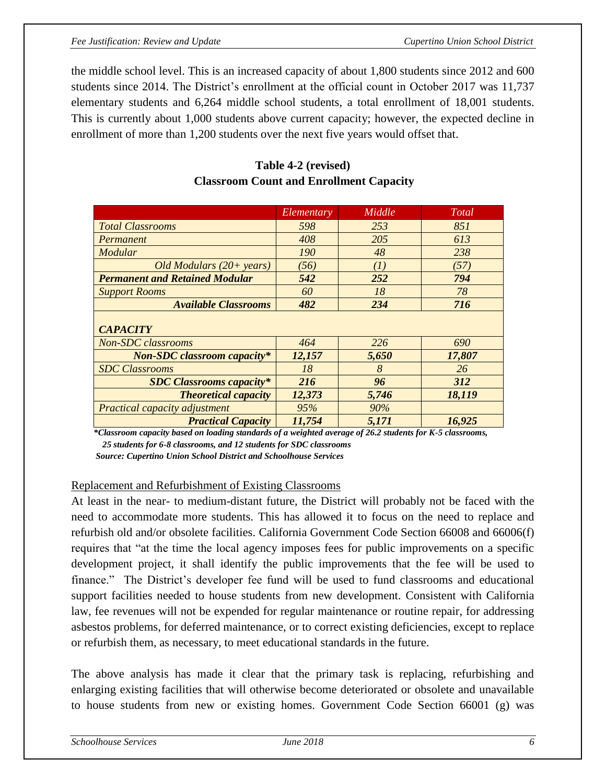#### *Fee Justification: Review and Update Cupertino Union School District*

the middle school level. This is an increased capacity of about 1,800 students since 2012 and 600 students since 2014. The District's enrollment at the official count in October 2017 was 11,737 elementary students and 6,264 middle school students, a total enrollment of 18,001 students. This is currently about 1,000 students above current capacity; however, the expected decline in enrollment of more than 1,200 students over the next five years would offset that.

|                                       | Elementary | Middle | Total      |
|---------------------------------------|------------|--------|------------|
| <b>Total Classrooms</b>               | 598        | 253    | 851        |
| Permanent                             | 408        | 205    | 613        |
| Modular                               | <i>190</i> | 48     | 238        |
| Old Modulars $(20+)$ years)           | (56)       | (I)    | (57)       |
| <b>Permanent and Retained Modular</b> | 542        | 252    | 794        |
| <b>Support Rooms</b>                  | 60         | 18     | 78         |
| <b>Available Classrooms</b>           | 482        | 234    | 716        |
| <b>CAPACITY</b>                       |            |        |            |
| <b>Non-SDC</b> classrooms             | 464        | 226    | 690        |
| <b>Non-SDC</b> classroom capacity*    | 12,157     | 5,650  | 17,807     |
| <b>SDC</b> Classrooms                 | 18         | 8      | 26         |
| <b>SDC Classrooms capacity*</b>       | 216        | 96     | <b>312</b> |
| <b>Theoretical capacity</b>           | 12,373     | 5,746  | 18,119     |
| Practical capacity adjustment         | 95%        | 90%    |            |
| <b>Practical Capacity</b>             | 11,754     | 5,171  | 16,925     |

## **Table 4-2 (revised) Classroom Count and Enrollment Capacity**

 *\*Classroom capacity based on loading standards of a weighted average of 26.2 students for K-5 classrooms,* 

 *25 students for 6-8 classrooms, and 12 students for SDC classrooms*

 *Source: Cupertino Union School District and Schoolhouse Services*

#### Replacement and Refurbishment of Existing Classrooms

At least in the near- to medium-distant future, the District will probably not be faced with the need to accommodate more students. This has allowed it to focus on the need to replace and refurbish old and/or obsolete facilities. California Government Code Section 66008 and 66006(f) requires that "at the time the local agency imposes fees for public improvements on a specific development project, it shall identify the public improvements that the fee will be used to finance." The District's developer fee fund will be used to fund classrooms and educational support facilities needed to house students from new development. Consistent with California law, fee revenues will not be expended for regular maintenance or routine repair, for addressing asbestos problems, for deferred maintenance, or to correct existing deficiencies, except to replace or refurbish them, as necessary, to meet educational standards in the future.

The above analysis has made it clear that the primary task is replacing, refurbishing and enlarging existing facilities that will otherwise become deteriorated or obsolete and unavailable to house students from new or existing homes. Government Code Section 66001 (g) was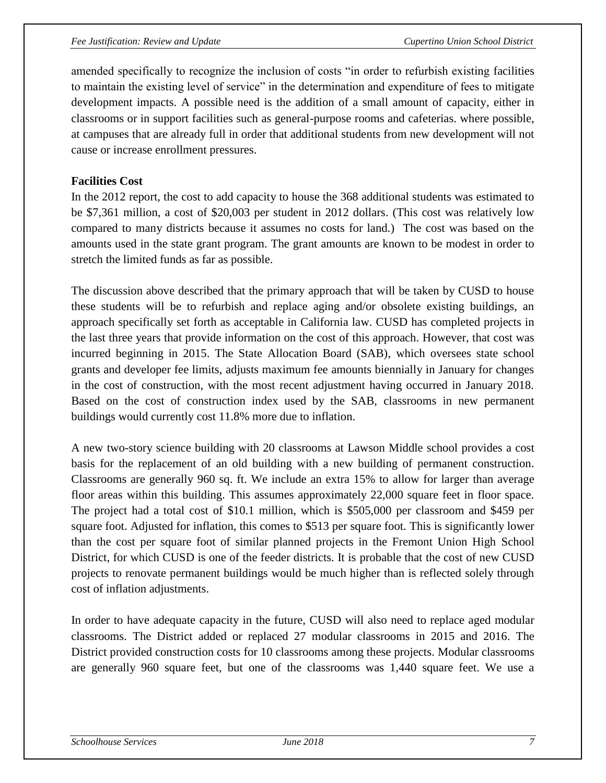amended specifically to recognize the inclusion of costs "in order to refurbish existing facilities to maintain the existing level of service" in the determination and expenditure of fees to mitigate development impacts. A possible need is the addition of a small amount of capacity, either in classrooms or in support facilities such as general-purpose rooms and cafeterias. where possible, at campuses that are already full in order that additional students from new development will not cause or increase enrollment pressures.

#### **Facilities Cost**

In the 2012 report, the cost to add capacity to house the 368 additional students was estimated to be \$7,361 million, a cost of \$20,003 per student in 2012 dollars. (This cost was relatively low compared to many districts because it assumes no costs for land.) The cost was based on the amounts used in the state grant program. The grant amounts are known to be modest in order to stretch the limited funds as far as possible.

The discussion above described that the primary approach that will be taken by CUSD to house these students will be to refurbish and replace aging and/or obsolete existing buildings, an approach specifically set forth as acceptable in California law. CUSD has completed projects in the last three years that provide information on the cost of this approach. However, that cost was incurred beginning in 2015. The State Allocation Board (SAB), which oversees state school grants and developer fee limits, adjusts maximum fee amounts biennially in January for changes in the cost of construction, with the most recent adjustment having occurred in January 2018. Based on the cost of construction index used by the SAB, classrooms in new permanent buildings would currently cost 11.8% more due to inflation.

A new two-story science building with 20 classrooms at Lawson Middle school provides a cost basis for the replacement of an old building with a new building of permanent construction. Classrooms are generally 960 sq. ft. We include an extra 15% to allow for larger than average floor areas within this building. This assumes approximately 22,000 square feet in floor space. The project had a total cost of \$10.1 million, which is \$505,000 per classroom and \$459 per square foot. Adjusted for inflation, this comes to \$513 per square foot. This is significantly lower than the cost per square foot of similar planned projects in the Fremont Union High School District, for which CUSD is one of the feeder districts. It is probable that the cost of new CUSD projects to renovate permanent buildings would be much higher than is reflected solely through cost of inflation adjustments.

In order to have adequate capacity in the future, CUSD will also need to replace aged modular classrooms. The District added or replaced 27 modular classrooms in 2015 and 2016. The District provided construction costs for 10 classrooms among these projects. Modular classrooms are generally 960 square feet, but one of the classrooms was 1,440 square feet. We use a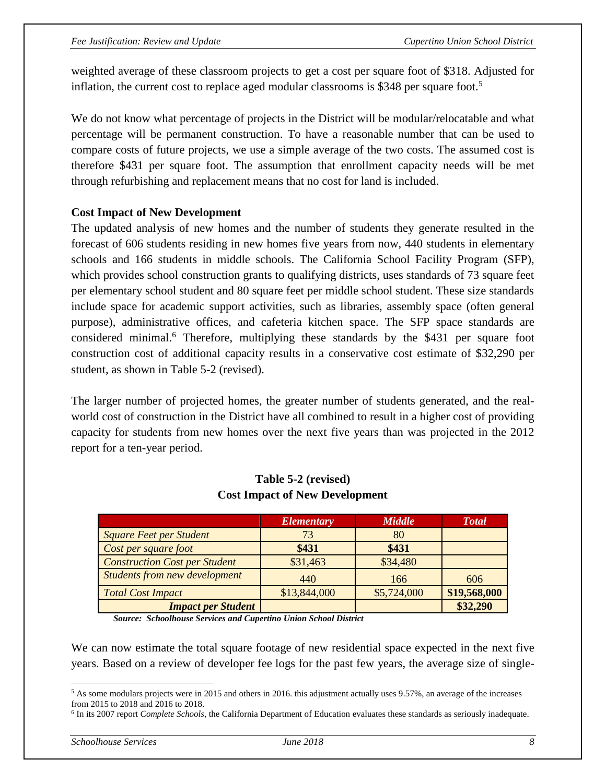weighted average of these classroom projects to get a cost per square foot of \$318. Adjusted for inflation, the current cost to replace aged modular classrooms is \$348 per square foot. 5

We do not know what percentage of projects in the District will be modular/relocatable and what percentage will be permanent construction. To have a reasonable number that can be used to compare costs of future projects, we use a simple average of the two costs. The assumed cost is therefore \$431 per square foot. The assumption that enrollment capacity needs will be met through refurbishing and replacement means that no cost for land is included.

#### **Cost Impact of New Development**

The updated analysis of new homes and the number of students they generate resulted in the forecast of 606 students residing in new homes five years from now, 440 students in elementary schools and 166 students in middle schools. The California School Facility Program (SFP), which provides school construction grants to qualifying districts, uses standards of 73 square feet per elementary school student and 80 square feet per middle school student. These size standards include space for academic support activities, such as libraries, assembly space (often general purpose), administrative offices, and cafeteria kitchen space. The SFP space standards are considered minimal.<sup>6</sup> Therefore, multiplying these standards by the \$431 per square foot construction cost of additional capacity results in a conservative cost estimate of \$32,290 per student, as shown in Table 5-2 (revised).

The larger number of projected homes, the greater number of students generated, and the realworld cost of construction in the District have all combined to result in a higher cost of providing capacity for students from new homes over the next five years than was projected in the 2012 report for a ten-year period.

|                                      | <b>Elementary</b> | <b>Middle</b> | <b>Total</b> |
|--------------------------------------|-------------------|---------------|--------------|
| <b>Square Feet per Student</b>       | 73                | 80            |              |
| Cost per square foot                 | \$431             | \$431         |              |
| <b>Construction Cost per Student</b> | \$31,463          | \$34,480      |              |
| <b>Students from new development</b> | 440               | 166           | 606          |
| <b>Total Cost Impact</b>             | \$13,844,000      | \$5,724,000   | \$19,568,000 |
| <b>Impact per Student</b>            |                   |               | \$32,290     |

#### **Table 5-2 (revised) Cost Impact of New Development**

*Source: Schoolhouse Services and Cupertino Union School District*

We can now estimate the total square footage of new residential space expected in the next five years. Based on a review of developer fee logs for the past few years, the average size of single-

 $\overline{a}$ 

<sup>&</sup>lt;sup>5</sup> As some modulars projects were in 2015 and others in 2016. this adjustment actually uses 9.57%, an average of the increases from 2015 to 2018 and 2016 to 2018.

<sup>6</sup> In its 2007 report *Complete Schools*, the California Department of Education evaluates these standards as seriously inadequate.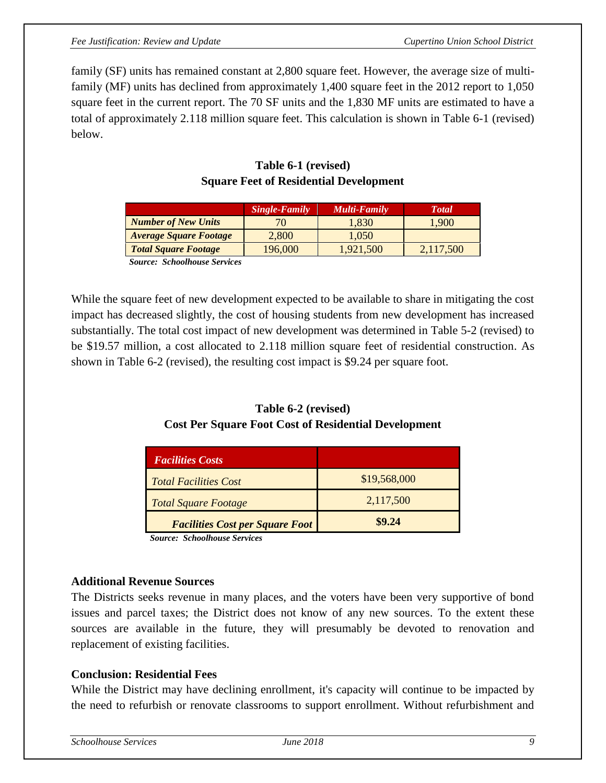family (SF) units has remained constant at 2,800 square feet. However, the average size of multifamily (MF) units has declined from approximately 1,400 square feet in the 2012 report to 1,050 square feet in the current report. The 70 SF units and the 1,830 MF units are estimated to have a total of approximately 2.118 million square feet. This calculation is shown in Table 6-1 (revised) below.

|                               | <b>Single-Family</b> | Multi-Family | <b>T</b> otal |
|-------------------------------|----------------------|--------------|---------------|
| <b>Number of New Units</b>    |                      | 1,830        | 1.900         |
| <b>Average Square Footage</b> | 2,800                | 1,050        |               |
| <b>Total Square Footage</b>   | 196,000              | 1.921.500    | 2,117,500     |
| $\alpha$ 1 11                 |                      |              |               |

## **Table 6-1 (revised) Square Feet of Residential Development**

 *Source: Schoolhouse Services* 

While the square feet of new development expected to be available to share in mitigating the cost impact has decreased slightly, the cost of housing students from new development has increased substantially. The total cost impact of new development was determined in Table 5-2 (revised) to be \$19.57 million, a cost allocated to 2.118 million square feet of residential construction. As shown in Table 6-2 (revised), the resulting cost impact is \$9.24 per square foot.

#### **Table 6-2 (revised) Cost Per Square Foot Cost of Residential Development**

| <b>Facilities Costs</b>                |              |
|----------------------------------------|--------------|
| <i>Total Facilities Cost</i>           | \$19,568,000 |
| <b>Total Square Footage</b>            | 2,117,500    |
| <b>Facilities Cost per Square Foot</b> | \$9.24       |

 *Source: Schoolhouse Services*

#### **Additional Revenue Sources**

The Districts seeks revenue in many places, and the voters have been very supportive of bond issues and parcel taxes; the District does not know of any new sources. To the extent these sources are available in the future, they will presumably be devoted to renovation and replacement of existing facilities.

#### **Conclusion: Residential Fees**

While the District may have declining enrollment, it's capacity will continue to be impacted by the need to refurbish or renovate classrooms to support enrollment. Without refurbishment and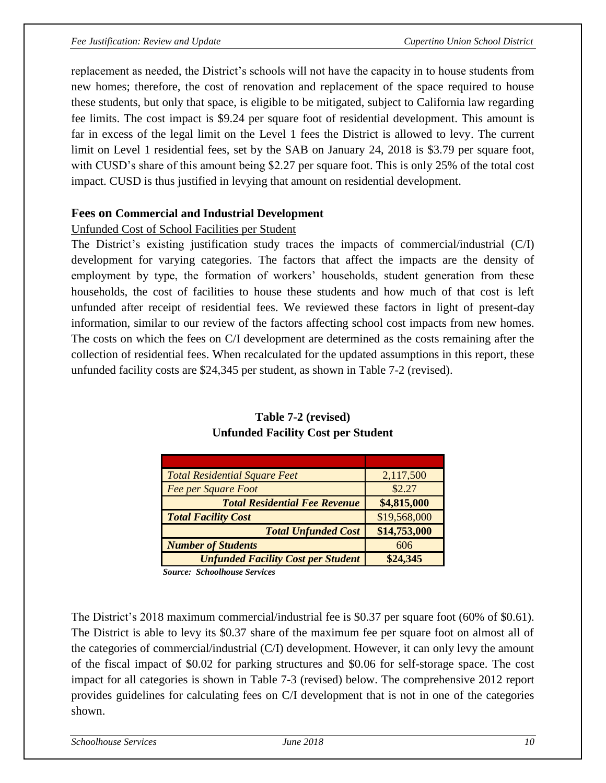replacement as needed, the District's schools will not have the capacity in to house students from new homes; therefore, the cost of renovation and replacement of the space required to house these students, but only that space, is eligible to be mitigated, subject to California law regarding fee limits. The cost impact is \$9.24 per square foot of residential development. This amount is far in excess of the legal limit on the Level 1 fees the District is allowed to levy. The current limit on Level 1 residential fees, set by the SAB on January 24, 2018 is \$3.79 per square foot, with CUSD's share of this amount being \$2.27 per square foot. This is only 25% of the total cost impact. CUSD is thus justified in levying that amount on residential development.

#### **Fees on Commercial and Industrial Development**

#### Unfunded Cost of School Facilities per Student

The District's existing justification study traces the impacts of commercial/industrial (C/I) development for varying categories. The factors that affect the impacts are the density of employment by type, the formation of workers' households, student generation from these households, the cost of facilities to house these students and how much of that cost is left unfunded after receipt of residential fees. We reviewed these factors in light of present-day information, similar to our review of the factors affecting school cost impacts from new homes. The costs on which the fees on C/I development are determined as the costs remaining after the collection of residential fees. When recalculated for the updated assumptions in this report, these unfunded facility costs are \$24,345 per student, as shown in Table 7-2 (revised).

| <b>Total Residential Square Feet</b>      | 2,117,500    |
|-------------------------------------------|--------------|
| <b>Fee per Square Foot</b>                | \$2.27       |
| <b>Total Residential Fee Revenue</b>      | \$4,815,000  |
| <b>Total Facility Cost</b>                | \$19,568,000 |
| <b>Total Unfunded Cost</b>                | \$14,753,000 |
| <b>Number of Students</b>                 | 606          |
| <b>Unfunded Facility Cost per Student</b> | \$24,345     |

#### **Table 7-2 (revised) Unfunded Facility Cost per Student**

*Source: Schoolhouse Services*

The District's 2018 maximum commercial/industrial fee is \$0.37 per square foot (60% of \$0.61). The District is able to levy its \$0.37 share of the maximum fee per square foot on almost all of the categories of commercial/industrial (C/I) development. However, it can only levy the amount of the fiscal impact of \$0.02 for parking structures and \$0.06 for self-storage space. The cost impact for all categories is shown in Table 7-3 (revised) below. The comprehensive 2012 report provides guidelines for calculating fees on C/I development that is not in one of the categories shown.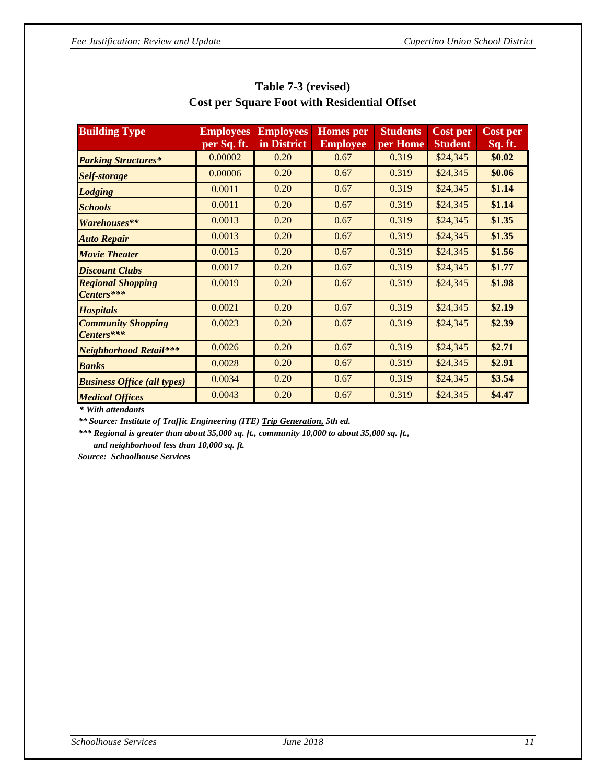| <b>Building Type</b>                    | <b>Employees</b> | <b>Employees</b> | <b>Homes</b> per | <b>Students</b> | <b>Cost per</b> | <b>Cost per</b> |
|-----------------------------------------|------------------|------------------|------------------|-----------------|-----------------|-----------------|
|                                         | per Sq. ft.      | in District      | <b>Employee</b>  | per Home        | <b>Student</b>  | Sq. ft.         |
| <b>Parking Structures*</b>              | 0.00002          | 0.20             | 0.67             | 0.319           | \$24,345        | \$0.02          |
| Self-storage                            | 0.00006          | 0.20             | 0.67             | 0.319           | \$24,345        | \$0.06          |
| <b>Lodging</b>                          | 0.0011           | 0.20             | 0.67             | 0.319           | \$24,345        | \$1.14          |
| <b>Schools</b>                          | 0.0011           | 0.20             | 0.67             | 0.319           | \$24,345        | \$1.14          |
| Warehouses**                            | 0.0013           | 0.20             | 0.67             | 0.319           | \$24,345        | \$1.35          |
| <b>Auto Repair</b>                      | 0.0013           | 0.20             | 0.67             | 0.319           | \$24,345        | \$1.35          |
| <b>Movie Theater</b>                    | 0.0015           | 0.20             | 0.67             | 0.319           | \$24,345        | \$1.56          |
| <b>Discount Clubs</b>                   | 0.0017           | 0.20             | 0.67             | 0.319           | \$24,345        | \$1.77          |
| <b>Regional Shopping</b><br>Centers***  | 0.0019           | 0.20             | 0.67             | 0.319           | \$24,345        | \$1.98          |
| <b>Hospitals</b>                        | 0.0021           | 0.20             | 0.67             | 0.319           | \$24,345        | \$2.19          |
| <b>Community Shopping</b><br>Centers*** | 0.0023           | 0.20             | 0.67             | 0.319           | \$24,345        | \$2.39          |
| <b>Neighborhood Retail***</b>           | 0.0026           | 0.20             | 0.67             | 0.319           | \$24,345        | \$2.71          |
| <b>Banks</b>                            | 0.0028           | 0.20             | 0.67             | 0.319           | \$24,345        | \$2.91          |
| <b>Business Office (all types)</b>      | 0.0034           | 0.20             | 0.67             | 0.319           | \$24,345        | \$3.54          |
| <b>Medical Offices</b>                  | 0.0043           | 0.20             | 0.67             | 0.319           | \$24,345        | \$4.47          |

### **Table 7-3 (revised) Cost per Square Foot with Residential Offset**

 *\* With attendants*

 *\*\* Source: Institute of Traffic Engineering (ITE) Trip Generation, 5th ed.*

 *\*\*\* Regional is greater than about 35,000 sq. ft., community 10,000 to about 35,000 sq. ft., and neighborhood less than 10,000 sq. ft.*

 *Source: Schoolhouse Services*